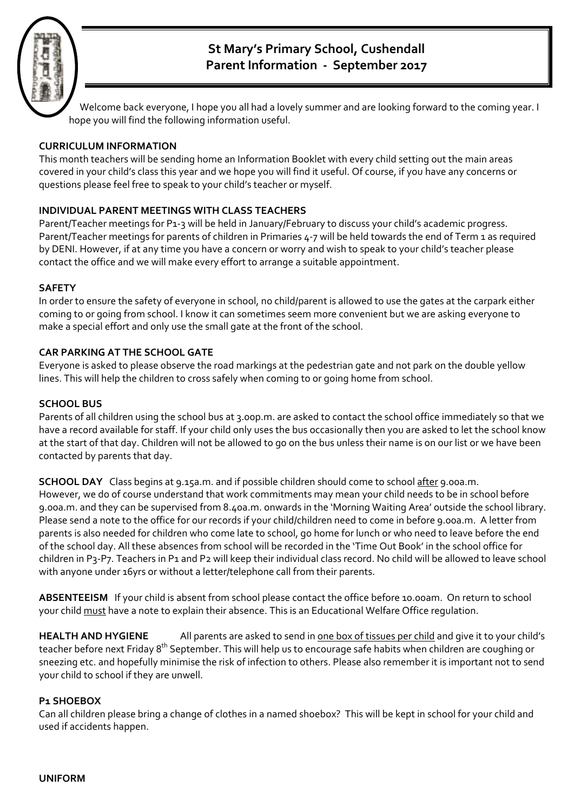

# **St Mary's Primary School, Cushendall** Parent Information - September 2017

Welcome back everyone, I hope you all had a lovely summer and are looking forward to the coming year. I hope you will find the following information useful.

# **CURRICULUM INFORMATION**

This month teachers will be sending home an Information Booklet with every child setting out the main areas covered in your child's class this year and we hope you will find it useful. Of course, if you have any concerns or questions please feel free to speak to your child's teacher or myself.

# **INDIVIDUAL PARENT MEETINGS WITH CLASS TEACHERS**

Parent/Teacher meetings for P1-3 will be held in January/February to discuss your child's academic progress. Parent/Teacher meetings for parents of children in Primaries 4-7 will be held towards the end of Term 1 as required by DENI. However, if at any time you have a concern or worry and wish to speak to your child's teacher please contact the office and we will make every effort to arrange a suitable appointment.

### **SAFETY**

In order to ensure the safety of everyone in school, no child/parent is allowed to use the gates at the carpark either coming to or going from school. I know it can sometimes seem more convenient but we are asking everyone to make a special effort and only use the small gate at the front of the school.

# **CAR PARKING AT THE SCHOOL GATE**

Everyone is asked to please observe the road markings at the pedestrian gate and not park on the double yellow lines. This will help the children to cross safely when coming to or going home from school.

### **SCHOOL BUS**

Parents of all children using the school bus at 3.00p.m. are asked to contact the school office immediately so that we have a record available for staff. If your child only uses the bus occasionally then you are asked to let the school know at the start of that day. Children will not be allowed to go on the bus unless their name is on our list or we have been contacted by parents that day.

**SCHOOL DAY** Class begins at 9.15a.m. and if possible children should come to school after 9.00a.m. However, we do of course understand that work commitments may mean your child needs to be in school before 9.00a.m. and they can be supervised from 8.40a.m. onwards in the 'Morning Waiting Area' outside the school library. Please send a note to the office for our records if your child/children need to come in before 9.00a.m. A letter from parents is also needed for children who come late to school, go home for lunch or who need to leave before the end of the school day. All these absences from school will be recorded in the 'Time Out Book' in the school office for children in P3-P7. Teachers in P1 and P2 will keep their individual class record. No child will be allowed to leave school with anyone under 16yrs or without a letter/telephone call from their parents.

**ABSENTEEISM** If your child is absent from school please contact the office before 10.00am. On return to school your child must have a note to explain their absence. This is an Educational Welfare Office regulation.

**HEALTH AND HYGIENE** All parents are asked to send in one box of tissues per child and give it to your child's teacher before next Friday 8<sup>th</sup> September. This will help us to encourage safe habits when children are coughing or sneezing etc. and hopefully minimise the risk of infection to others. Please also remember it is important not to send your child to school if they are unwell.

### **P1 SHOEBOX**

Can all children please bring a change of clothes in a named shoebox? This will be kept in school for your child and used if accidents happen.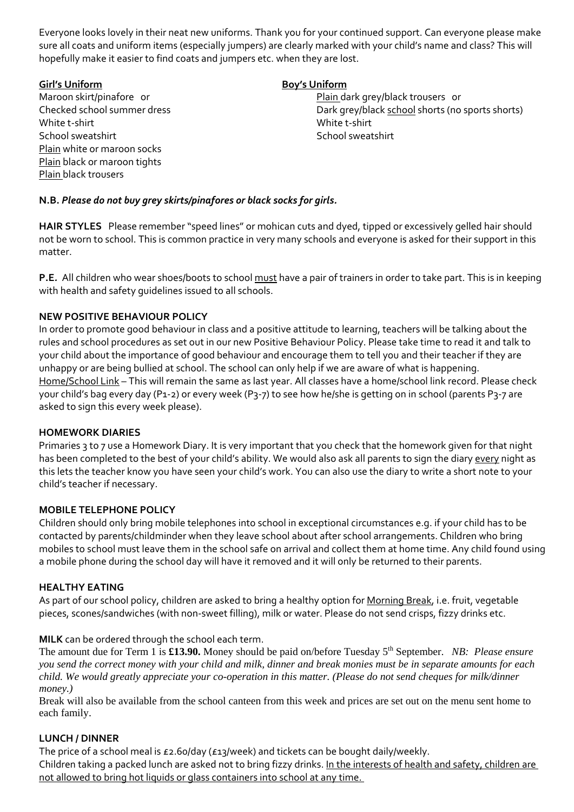Everyone looks lovely in their neat new uniforms. Thank you for your continued support. Can everyone please make sure all coats and uniform items (especially jumpers) are clearly marked with your child's name and class? This will hopefully make it easier to find coats and jumpers etc. when they are lost.

# **Girl's Uniform Boy's Uniform** White t‐shirt White t‐shirt School sweatshirt **School sweatshirt School sweatshirt School sweatshirt** Plain white or maroon socks Plain black or maroon tights Plain black trousers

Maroon skirt/pinafore or *Maroon skirt/pinafore* or *permition* *or n n n n n n n n n n n n n n n n n n n n n n n n* Checked school summer dress **Dark grey/black school shorts (no sports shorts)** 

# **N.B.** *Please do not buy grey skirts/pinafores or black socks for girls.*

**HAIR STYLES** Please remember "speed lines" or mohican cuts and dyed, tipped or excessively gelled hair should not be worn to school. This is common practice in very many schools and everyone is asked for their support in this matter.

**P.E**. All children who wear shoes/boots to school must have a pair of trainers in order to take part. This is in keeping with health and safety guidelines issued to all schools.

# **NEW POSITIVE BEHAVIOUR POLICY**

In order to promote good behaviour in class and a positive attitude to learning, teachers will be talking about the rules and school procedures as set out in our new Positive Behaviour Policy. Please take time to read it and talk to your child about the importance of good behaviour and encourage them to tell you and their teacher if they are unhappy or are being bullied at school. The school can only help if we are aware of what is happening. Home/School Link – This will remain the same as last year. All classes have a home/school link record. Please check your child's bag every day (P1‐2) or every week (P3‐7) to see how he/she is getting on in school (parents P3‐7 are asked to sign this every week please).

### **HOMEWORK DIARIES**

Primaries 3 to 7 use a Homework Diary. It is very important that you check that the homework given for that night has been completed to the best of your child's ability. We would also ask all parents to sign the diary every night as this lets the teacher know you have seen your child's work. You can also use the diary to write a short note to your child's teacher if necessary.

### **MOBILE TELEPHONE POLICY**

Children should only bring mobile telephones into school in exceptional circumstances e.g. if your child has to be contacted by parents/childminder when they leave school about after school arrangements. Children who bring mobiles to school must leave them in the school safe on arrival and collect them at home time. Any child found using a mobile phone during the school day will have it removed and it will only be returned to their parents.

### **HEALTHY EATING**

As part of our school policy, children are asked to bring a healthy option for Morning Break, i.e. fruit, vegetable pieces, scones/sandwiches (with non‐sweet filling), milk or water. Please do not send crisps, fizzy drinks etc.

### **MILK** can be ordered through the school each term.

The amount due for Term 1 is **£13.90.** Money should be paid on/before Tuesday 5<sup>th</sup> September. *NB: Please ensure you send the correct money with your child and milk, dinner and break monies must be in separate amounts for each child. We would greatly appreciate your co-operation in this matter. (Please do not send cheques for milk/dinner money.)*

Break will also be available from the school canteen from this week and prices are set out on the menu sent home to each family.

### **LUNCH / DINNER**

The price of a school meal is £2.60/day (£13/week) and tickets can be bought daily/weekly. Children taking a packed lunch are asked not to bring fizzy drinks. In the interests of health and safety, children are not allowed to bring hot liquids or glass containers into school at any time.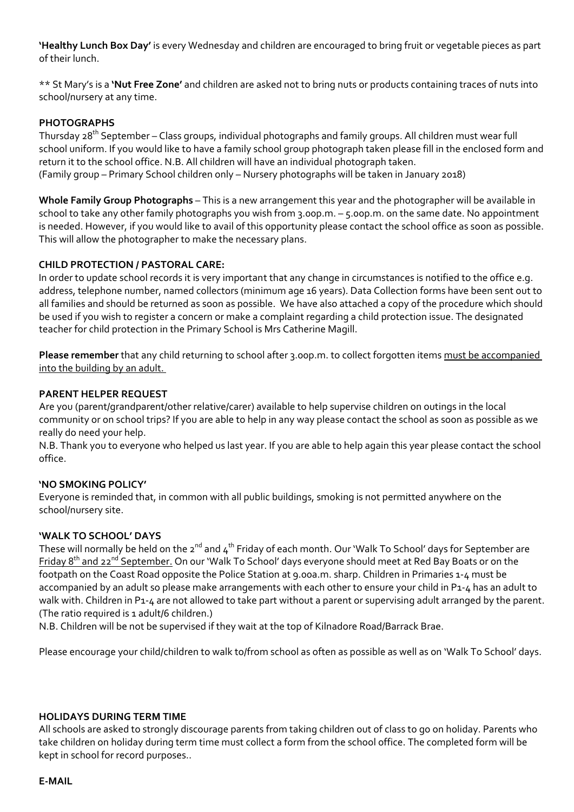**'Healthy Lunch Box Day'** is every Wednesday and children are encouraged to bring fruit or vegetable pieces as part of their lunch.

\*\* St Mary's is a **'Nut Free Zone'** and children are asked not to bring nuts or products containing traces of nuts into school/nursery at any time.

#### **PHOTOGRAPHS**

Thursday 28<sup>th</sup> September – Class groups, individual photographs and family groups. All children must wear full school uniform. If you would like to have a family school group photograph taken please fill in the enclosed form and return it to the school office. N.B. All children will have an individual photograph taken. (Family group – Primary School children only – Nursery photographs will be taken in January 2018)

**Whole Family Group Photographs** – This is a new arrangement this year and the photographer will be available in school to take any other family photographs you wish from 3.00p.m. – 5.00p.m. on the same date. No appointment is needed. However, if you would like to avail of this opportunity please contact the school office as soon as possible. This will allow the photographer to make the necessary plans.

### **CHILD PROTECTION / PASTORAL CARE:**

In order to update school records it is very important that any change in circumstances is notified to the office e.g. address, telephone number, named collectors (minimum age 16 years). Data Collection forms have been sent out to all families and should be returned as soon as possible. We have also attached a copy of the procedure which should be used if you wish to register a concern or make a complaint regarding a child protection issue. The designated teacher for child protection in the Primary School is Mrs Catherine Magill.

**Please remember** that any child returning to school after 3.00p.m. to collect forgotten items must be accompanied into the building by an adult.

#### **PARENT HELPER REQUEST**

Are you (parent/grandparent/other relative/carer) available to help supervise children on outings in the local community or on school trips? If you are able to help in any way please contact the school as soon as possible as we really do need your help.

N.B. Thank you to everyone who helped us last year. If you are able to help again this year please contact the school office.

#### **'NO SMOKING POLICY'**

Everyone is reminded that, in common with all public buildings, smoking is not permitted anywhere on the school/nursery site.

#### **'WALK TO SCHOOL' DAYS**

These will normally be held on the 2<sup>nd</sup> and 4<sup>th</sup> Friday of each month. Our 'Walk To School' days for September are Friday 8<sup>th</sup> and 22<sup>nd</sup> September. On our 'Walk To School' days everyone should meet at Red Bay Boats or on the footpath on the Coast Road opposite the Police Station at 9.00a.m. sharp. Children in Primaries 1‐4 must be accompanied by an adult so please make arrangements with each other to ensure your child in P1‐4 has an adult to walk with. Children in P1-4 are not allowed to take part without a parent or supervising adult arranged by the parent. (The ratio required is 1 adult/6 children.)

N.B. Children will be not be supervised if they wait at the top of Kilnadore Road/Barrack Brae.

Please encourage your child/children to walk to/from school as often as possible as well as on 'Walk To School' days.

#### **HOLIDAYS DURING TERM TIME**

All schools are asked to strongly discourage parents from taking children out of class to go on holiday. Parents who take children on holiday during term time must collect a form from the school office. The completed form will be kept in school for record purposes..